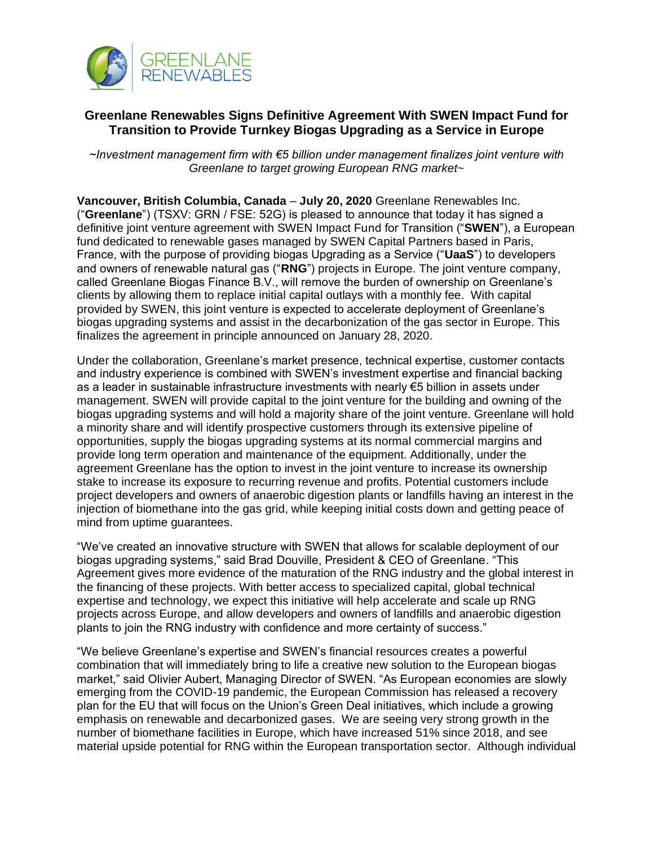

## **Greenlane Renewables Signs Definitive Agreement With SWEN Impact Fund for Transition to Provide Turnkey Biogas Upgrading as a Service in Europe**

*~Investment management firm with €5 billion under management finalizes joint venture with Greenlane to target growing European RNG market~*

**Vancouver, British Columbia, Canada** – **July 20, 2020** Greenlane Renewables Inc. ("**Greenlane**") (TSXV: GRN / FSE: 52G) is pleased to announce that today it has signed a definitive joint venture agreement with SWEN Impact Fund for Transition ("**SWEN**"), a European fund dedicated to renewable gases managed by SWEN Capital Partners based in Paris, France, with the purpose of providing biogas Upgrading as a Service ("**UaaS**") to developers and owners of renewable natural gas ("**RNG**") projects in Europe. The joint venture company, called Greenlane Biogas Finance B.V., will remove the burden of ownership on Greenlane's clients by allowing them to replace initial capital outlays with a monthly fee. With capital provided by SWEN, this joint venture is expected to accelerate deployment of Greenlane's biogas upgrading systems and assist in the decarbonization of the gas sector in Europe. This finalizes the agreement in principle announced on January 28, 2020.

Under the collaboration, Greenlane's market presence, technical expertise, customer contacts and industry experience is combined with SWEN's investment expertise and financial backing as a leader in sustainable infrastructure investments with nearly €5 billion in assets under management. SWEN will provide capital to the joint venture for the building and owning of the biogas upgrading systems and will hold a majority share of the joint venture. Greenlane will hold a minority share and will identify prospective customers through its extensive pipeline of opportunities, supply the biogas upgrading systems at its normal commercial margins and provide long term operation and maintenance of the equipment. Additionally, under the agreement Greenlane has the option to invest in the joint venture to increase its ownership stake to increase its exposure to recurring revenue and profits. Potential customers include project developers and owners of anaerobic digestion plants or landfills having an interest in the injection of biomethane into the gas grid, while keeping initial costs down and getting peace of mind from uptime guarantees.

"We've created an innovative structure with SWEN that allows for scalable deployment of our biogas upgrading systems," said Brad Douville, President & CEO of Greenlane. "This Agreement gives more evidence of the maturation of the RNG industry and the global interest in the financing of these projects. With better access to specialized capital, global technical expertise and technology, we expect this initiative will help accelerate and scale up RNG projects across Europe, and allow developers and owners of landfills and anaerobic digestion plants to join the RNG industry with confidence and more certainty of success."

"We believe Greenlane's expertise and SWEN's financial resources creates a powerful combination that will immediately bring to life a creative new solution to the European biogas market," said Olivier Aubert, Managing Director of SWEN. "As European economies are slowly emerging from the COVID-19 pandemic, the European Commission has released a recovery plan for the EU that will focus on the Union's Green Deal initiatives, which include a growing emphasis on renewable and decarbonized gases. We are seeing very strong growth in the number of biomethane facilities in Europe, which have increased 51% since 2018, and see material upside potential for RNG within the European transportation sector. Although individual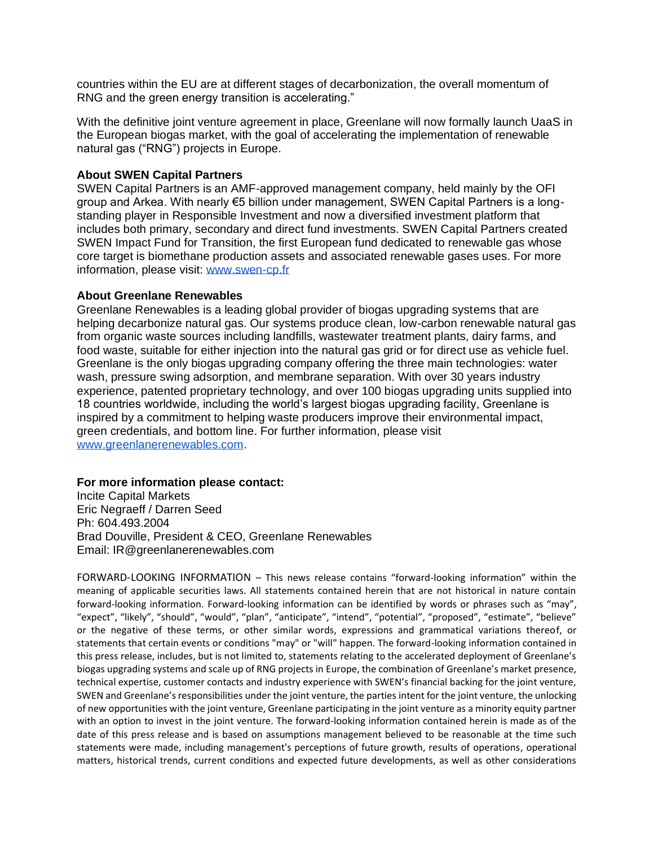countries within the EU are at different stages of decarbonization, the overall momentum of RNG and the green energy transition is accelerating."

With the definitive joint venture agreement in place, Greenlane will now formally launch UaaS in the European biogas market, with the goal of accelerating the implementation of renewable natural gas ("RNG") projects in Europe.

## **About SWEN Capital Partners**

SWEN Capital Partners is an AMF-approved management company, held mainly by the OFI group and Arkea. With nearly €5 billion under management, SWEN Capital Partners is a longstanding player in Responsible Investment and now a diversified investment platform that includes both primary, secondary and direct fund investments. SWEN Capital Partners created SWEN Impact Fund for Transition, the first European fund dedicated to renewable gas whose core target is biomethane production assets and associated renewable gases uses. For more information, please visit: [www.swen-cp.fr](http://www.swen-cp.fr/)

## **About Greenlane Renewables**

Greenlane Renewables is a leading global provider of biogas upgrading systems that are helping decarbonize natural gas. Our systems produce clean, low-carbon renewable natural gas from organic waste sources including landfills, wastewater treatment plants, dairy farms, and food waste, suitable for either injection into the natural gas grid or for direct use as vehicle fuel. Greenlane is the only biogas upgrading company offering the three main technologies: water wash, pressure swing adsorption, and membrane separation. With over 30 years industry experience, patented proprietary technology, and over 100 biogas upgrading units supplied into 18 countries worldwide, including the world's largest biogas upgrading facility, Greenlane is inspired by a commitment to helping waste producers improve their environmental impact, green credentials, and bottom line. For further information, please visit [www.greenlanerenewables.com.](http://www.greenlanerenewables.com/)

## **For more information please contact:**

Incite Capital Markets Eric Negraeff / Darren Seed Ph: 604.493.2004 Brad Douville, President & CEO, Greenlane Renewables Email: IR@greenlanerenewables.com

FORWARD-LOOKING INFORMATION – This news release contains "forward-looking information" within the meaning of applicable securities laws. All statements contained herein that are not historical in nature contain forward-looking information. Forward-looking information can be identified by words or phrases such as "may", "expect", "likely", "should", "would", "plan", "anticipate", "intend", "potential", "proposed", "estimate", "believe" or the negative of these terms, or other similar words, expressions and grammatical variations thereof, or statements that certain events or conditions "may" or "will" happen. The forward-looking information contained in this press release, includes, but is not limited to, statements relating to the accelerated deployment of Greenlane's biogas upgrading systems and scale up of RNG projects in Europe, the combination of Greenlane's market presence, technical expertise, customer contacts and industry experience with SWEN's financial backing for the joint venture, SWEN and Greenlane's responsibilities under the joint venture, the parties intent for the joint venture, the unlocking of new opportunities with the joint venture, Greenlane participating in the joint venture as a minority equity partner with an option to invest in the joint venture. The forward-looking information contained herein is made as of the date of this press release and is based on assumptions management believed to be reasonable at the time such statements were made, including management's perceptions of future growth, results of operations, operational matters, historical trends, current conditions and expected future developments, as well as other considerations